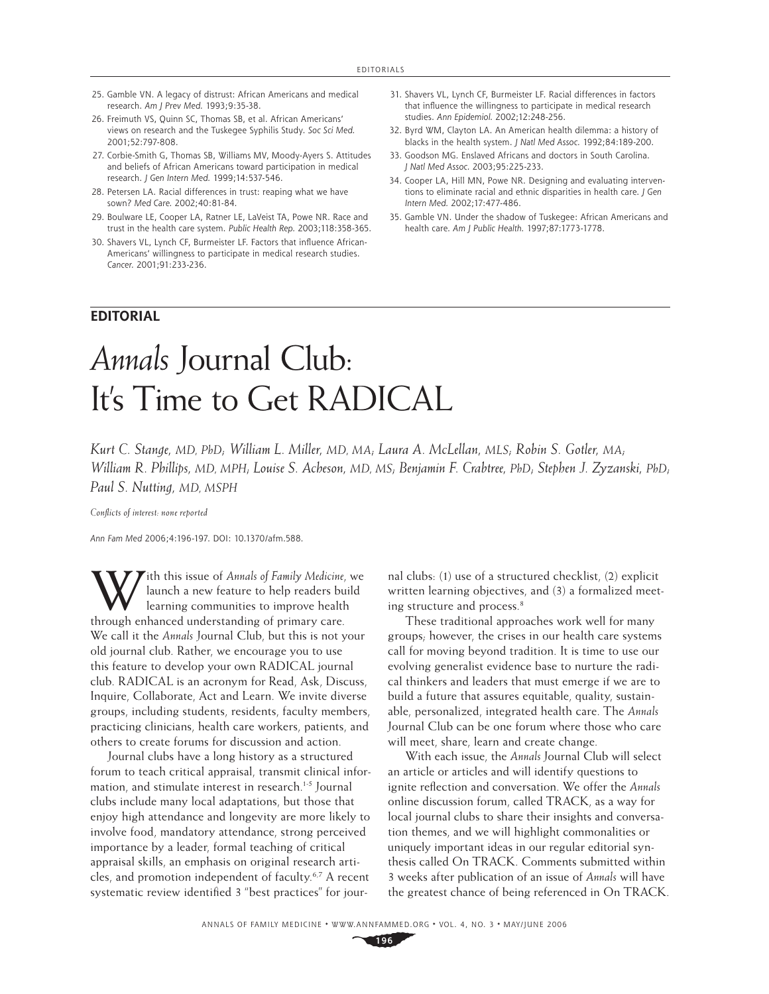- 25. Gamble VN. A legacy of distrust: African Americans and medical research. *Am J Prev Med.* 1993;9:35-38.
- 26. Freimuth VS, Quinn SC, Thomas SB, et al. African Americans' views on research and the Tuskegee Syphilis Study. *Soc Sci Med.*  2001;52:797-808.
- 27. Corbie-Smith G, Thomas SB, Williams MV, Moody-Ayers S. Attitudes and beliefs of African Americans toward participation in medical research. *J Gen Intern Med.* 1999;14:537-546.
- 28. Petersen LA. Racial differences in trust: reaping what we have sown? *Med Care.* 2002;40:81-84.
- 29. Boulware LE, Cooper LA, Ratner LE, LaVeist TA, Powe NR. Race and trust in the health care system. *Public Health Rep.* 2003;118:358-365.
- 30. Shavers VL, Lynch CF, Burmeister LF. Factors that influence African-Americans' willingness to participate in medical research studies. *Cancer.* 2001;91:233-236.

## **EDITORIAL**

- 31. Shavers VL, Lynch CF, Burmeister LF. Racial differences in factors that influence the willingness to participate in medical research studies. *Ann Epidemiol.* 2002;12:248-256.
- 32. Byrd WM, Clayton LA. An American health dilemma: a history of blacks in the health system. *J Natl Med Assoc.* 1992;84:189-200.
- 33. Goodson MG. Enslaved Africans and doctors in South Carolina. *J Natl Med Assoc.* 2003;95:225-233.
- 34. Cooper LA, Hill MN, Powe NR. Designing and evaluating interventions to eliminate racial and ethnic disparities in health care. *J Gen Intern Med.* 2002;17:477-486.
- 35. Gamble VN. Under the shadow of Tuskegee: African Americans and health care. *Am J Public Health.* 1997;87:1773-1778.

## *Annals* Journal Club: It's Time to Get RADICAL

*Kurt C. Stange, MD, PhD; William L. Miller, MD, MA; Laura A. McLellan, MLS; Robin S. Gotler, MA; William R. Phillips, MD, MPH; Louise S. Acheson, MD, MS; Benjamin F. Crabtree, PhD; Stephen J. Zyzanski, PhD; Paul S. Nutting, MD, MSPH*

*Confl icts of interest: none reported*

*Ann Fam Med* 2006;4:196-197. DOI: 10.1370/afm.588.

With this issue of *Annals of Family Medicine*, we launch a new feature to help readers build learning communities to improve health launch a new feature to help readers build learning communities to improve health through enhanced understanding of primary care. We call it the *Annals* Journal Club, but this is not your old journal club. Rather, we encourage you to use this feature to develop your own RADICAL journal club. RADICAL is an acronym for Read, Ask, Discuss, Inquire, Collaborate, Act and Learn. We invite diverse groups, including students, residents, faculty members, practicing clinicians, health care workers, patients, and others to create forums for discussion and action.

Journal clubs have a long history as a structured forum to teach critical appraisal, transmit clinical information, and stimulate interest in research.<sup>1-5</sup> Journal clubs include many local adaptations, but those that enjoy high attendance and longevity are more likely to involve food, mandatory attendance, strong perceived importance by a leader, formal teaching of critical appraisal skills, an emphasis on original research articles, and promotion independent of faculty.6,7 A recent systematic review identified 3 "best practices" for jour-

nal clubs: (1) use of a structured checklist, (2) explicit written learning objectives, and (3) a formalized meeting structure and process.<sup>8</sup>

These traditional approaches work well for many groups; however, the crises in our health care systems call for moving beyond tradition. It is time to use our evolving generalist evidence base to nurture the radical thinkers and leaders that must emerge if we are to build a future that assures equitable, quality, sustainable, personalized, integrated health care. The *Annals*  Journal Club can be one forum where those who care will meet, share, learn and create change.

With each issue, the *Annals* Journal Club will select an article or articles and will identify questions to ignite reflection and conversation. We offer the *Annals* online discussion forum, called TRACK, as a way for local journal clubs to share their insights and conversation themes, and we will highlight commonalities or uniquely important ideas in our regular editorial synthesis called On TRACK. Comments submitted within 3 weeks after publication of an issue of *Annals* will have the greatest chance of being referenced in On TRACK.

**196**